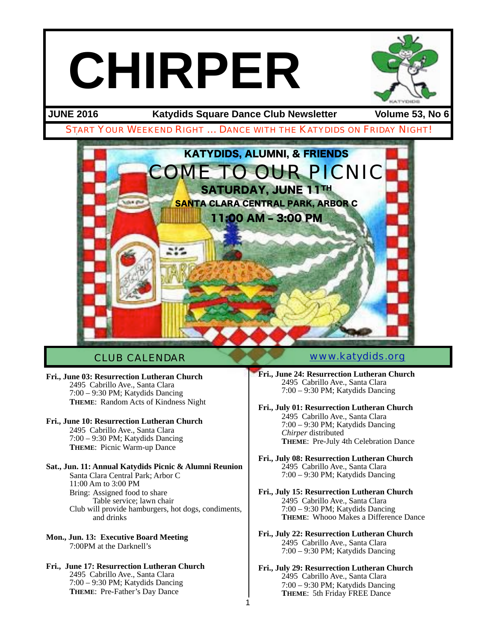# **CHIRPER**

**JUNE 2016 Katydids Square Dance Club Newsletter Volume 53, No 6**



1

**Fri., June 03: Resurrection Lutheran Church** 2495 Cabrillo Ave., Santa Clara 7:00 – 9:30 PM; Katydids Dancing **THEME**: Random Acts of Kindness Night

**Fri., June 10: Resurrection Lutheran Church** 2495 Cabrillo Ave., Santa Clara 7:00 – 9:30 PM; Katydids Dancing

**THEME**: Picnic Warm-up Dance

**Sat., Jun. 11: Annual Katydids Picnic & Alumni Reunion** Santa Clara Central Park; Arbor C 11:00 Am to 3:00 PM Bring: Assigned food to share Table service; lawn chair Club will provide hamburgers, hot dogs, condiments, and drinks

**Mon., Jun. 13: Executive Board Meeting** 7:00PM at the Darknell's 

**Fri., June 17: Resurrection Lutheran Church** 2495 Cabrillo Ave., Santa Clara 7:00 – 9:30 PM; Katydids Dancing **THEME**: Pre-Father's Day Dance

#### CLUB CALENDAR [www.katydids.org](http://www.katydids.org)

**Fri., June 24: Resurrection Lutheran Church** 2495 Cabrillo Ave., Santa Clara 7:00 – 9:30 PM; Katydids Dancing

**Fri., July 01: Resurrection Lutheran Church** 2495 Cabrillo Ave., Santa Clara 7:00 – 9:30 PM; Katydids Dancing *Chirper* distributed **THEME**: Pre-July 4th Celebration Dance

**Fri., July 08: Resurrection Lutheran Church** 2495 Cabrillo Ave., Santa Clara 7:00 – 9:30 PM; Katydids Dancing

- **Fri., July 15: Resurrection Lutheran Church** 2495 Cabrillo Ave., Santa Clara 7:00 – 9:30 PM; Katydids Dancing **THEME**: Whooo Makes a Difference Dance
- **Fri., July 22: Resurrection Lutheran Church** 2495 Cabrillo Ave., Santa Clara 7:00 – 9:30 PM; Katydids Dancing

**Fri., July 29: Resurrection Lutheran Church** 2495 Cabrillo Ave., Santa Clara 7:00 – 9:30 PM; Katydids Dancing **THEME**: 5th Friday FREE Dance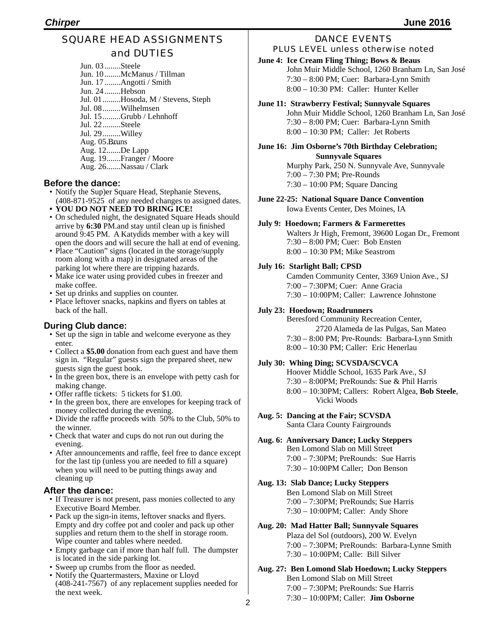#### SQUARE HEAD ASSIGNMENTS and DUTIES

Jun. 03........Steele Jun. 10........McManus / Tillman Jun. 17........Angotti / Smith Jun. 24........Hebson Jul. 01.........Hosoda, M / Stevens, Steph Jul. 08.........Wilhelmsen Jul. 15.........Grubb / Lehnhoff Jul. 22.........Steele Jul. 29.........Willey Aug. 05.Bruns Aug. 12.......De Lapp Aug. 19.......Franger / Moore Aug. 26.......Nassau / Clark

#### **Before the dance:**

- Notify the Sup)er Square Head, Stephanie Stevens, (408-871-9525 of any needed changes to assigned dates.
- **• YOU DO NOT NEED TO BRING ICE!**
- On scheduled night, the designated Square Heads should arrive by **6:30** PM.and stay until clean up is finished around 9:45 PM. A Katydids member with a key will open the doors and will secure the hall at end of evening.
- Place "Caution" signs (located in the storage/supply room along with a map) in designated areas of the parking lot where there are tripping hazards.
- Make ice water using provided cubes in freezer and make coffee.
- Set up drinks and supplies on counter.
- Place leftover snacks, napkins and flyers on tables at back of the hall.

#### **During Club dance:**

- Set up the sign in table and welcome everyone as they enter.
- Collect a **\$5.00** donation from each guest and have them sign in. "Regular" guests sign the prepared sheet, new guests sign the guest book.
- In the green box, there is an envelope with petty cash for making change.
- Offer raffle tickets: 5 tickets for \$1.00.
- In the green box, there are envelopes for keeping track of money collected during the evening.
- Divide the raffle proceeds with 50% to the Club, 50% to the winner.
- Check that water and cups do not run out during the evening.
- After announcements and raffle, feel free to dance except for the last tip (unless you are needed to fill a square) when you will need to be putting things away and cleaning up

#### **After the dance:**

- If Treasurer is not present, pass monies collected to any Executive Board Member.
- Pack up the sign-in items, leftover snacks and flyers. Empty and dry coffee pot and cooler and pack up other supplies and return them to the shelf in storage room. Wipe counter and tables where needed.
- Empty garbage can if more than half full. The dumpster is located in the side parking lot.
- Sweep up crumbs from the floor as needed.
- Notify the Quartermasters, Maxine or Lloyd (408-241-7567) of any replacement supplies needed for the next week.

#### DANCE EVENTS PLUS LEVEL unless otherwise noted

#### **June 4: Ice Cream Fling Thing; Bows & Beaus**

John Muir Middle School, 1260 Branham Ln, San José 7:30 – 8:00 PM; Cuer: Barbara-Lynn Smith 8:00 – 10:30 PM: Caller: Hunter Keller

#### **June 11: Strawberry Festival; Sunnyvale Squares**

John Muir Middle School, 1260 Branham Ln, San José 7:30 – 8:00 PM; Cuer: Barbara-Lynn Smith 8:00 – 10:30 PM; Caller: Jet Roberts

### **June 16: Jim Osborne's 70th Birthday Celebration;**

 **Sunnyvale Squares** Murphy Park, 250 N. Sunnyvale Ave, Sunnyvale 7:00 – 7:30 PM; Pre-Rounds 7:30 – 10:00 PM; Square Dancing

**June 22-25: National Square Dance Convention** Iowa Events Center, Des Moines, IA

#### **July 9: Hoedown; Farmers & Farmerettes**

Walters Jr High, Fremont, 39600 Logan Dr., Fremont 7:30 – 8:00 PM; Cuer: Bob Ensten 8:00 – 10:30 PM; Mike Seastrom

#### **July 16: Starlight Ball; CPSD**

Camden Community Center, 3369 Union Ave., SJ 7:00 – 7:30PM; Cuer: Anne Gracia 7:30 – 10:00PM; Caller: Lawrence Johnstone

#### **July 23: Hoedown; Roadrunners**

Beresford Community Recreation Center, 2720 Alameda de las Pulgas, San Mateo 7:30 – 8:00 PM; Pre-Rounds: Barbara-Lynn Smith 8:00 – 10:30 PM; Caller: Eric Henerlau

#### **July 30: Whing Ding; SCVSDA/SCVCA**

Hoover Middle School, 1635 Park Ave., SJ 7:30 – 8:00PM; PreRounds: Sue & Phil Harris 8:00 – 10:30PM; Callers: Robert Algea, **Bob Steele**, Vicki Woods

#### **Aug. 5: Dancing at the Fair; SCVSDA** Santa Clara County Fairgrounds

#### **Aug. 6: Anniversary Dance; Lucky Steppers** Ben Lomond Slab on Mill Street 7:00 – 7:30PM; PreRounds: Sue Harris 7:30 – 10:00PM Caller; Don Benson

#### **Aug. 13: Slab Dance; Lucky Steppers**

Ben Lomond Slab on Mill Street 7:00 – 7:30PM; PreRounds; Sue Harris 7:30 – 10:00PM; Caller: Andy Shore

#### **Aug. 20: Mad Hatter Ball; Sunnyvale Squares**

Plaza del Sol (outdoors), 200 W. Evelyn 7:00 – 7:30PM; PreRounds: Barbara-Lynne Smith 7:30 – 10:00PM; Calle: Bill Silver

**Aug. 27: Ben Lomond Slab Hoedown; Lucky Steppers** Ben Lomond Slab on Mill Street 7:00 – 7:30PM; PreRounds: Sue Harris 7:30 – 10:00PM; Caller: **Jim Osborne**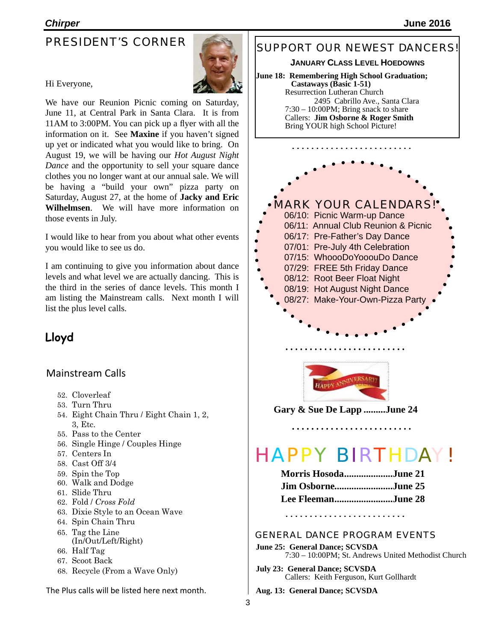#### PRESIDENT'S CORNER



#### Hi Everyone,

We have our Reunion Picnic coming on Saturday, June 11, at Central Park in Santa Clara. It is from 11AM to 3:00PM. You can pick up a flyer with all the information on it. See **Maxine** if you haven't signed up yet or indicated what you would like to bring. On August 19, we will be having our *Hot August Night Dance* and the opportunity to sell your square dance clothes you no longer want at our annual sale. We will be having a "build your own" pizza party on Saturday, August 27, at the home of **Jacky and Eric Wilhelmsen**. We will have more information on those events in July.

I would like to hear from you about what other events you would like to see us do.

I am continuing to give you information about dance levels and what level we are actually dancing. This is the third in the series of dance levels. This month I am listing the Mainstream calls. Next month I will list the plus level calls.

#### **Lloyd**

#### Mainstream Calls

- 52. Cloverleaf
- 53. Turn Thru
- 54. Eight Chain Thru / Eight Chain 1, 2, 3, Etc.
- 55. Pass to the Center
- 56. Single Hinge / Couples Hinge
- 57. Centers In
- 58. Cast Off 3/4
- 59. Spin the Top
- 60. Walk and Dodge
- 61. Slide Thru
- 62. Fold / *Cross Fold*
- 63. Dixie Style to an Ocean Wave
- 64. Spin Chain Thru
- 65. Tag the Line
- (In/Out/Left/Right) 66. Half Tag
- 
- 67. Scoot Back
- 68. Recycle (From a Wave Only)

The Plus calls will be listed here next month.

#### SUPPORT OUR NEWEST DANCERS!

**JANUARY CLASS LEVEL HOEDOWNS**

**June 18: Remembering High School Graduation; Castaways (Basic 1-51)** Resurrection Lutheran Church 2495 Cabrillo Ave., Santa Clara 7:30 – 10:00PM; Bring snack to share Callers: **Jim Osborne & Roger Smith** Bring YOUR high School Picture!



**Gary & Sue De Lapp .........June 24**

# HAPPY BIRTHDAY!

| <b>Morris HosodaJune 21</b> |  |
|-----------------------------|--|
| Jim OsborneJune 25          |  |
| Lee FleemanJune 28          |  |

. . . . . . . . . . . . . . . . . . .

#### GENERAL DANCE PROGRAM EVENTS

**June 25: General Dance; SCVSDA** 7:30 – 10:00PM; St. Andrews United Methodist Church

- **July 23: General Dance; SCVSDA** Callers: Keith Ferguson, Kurt Gollhardt
- **Aug. 13: General Dance; SCVSDA**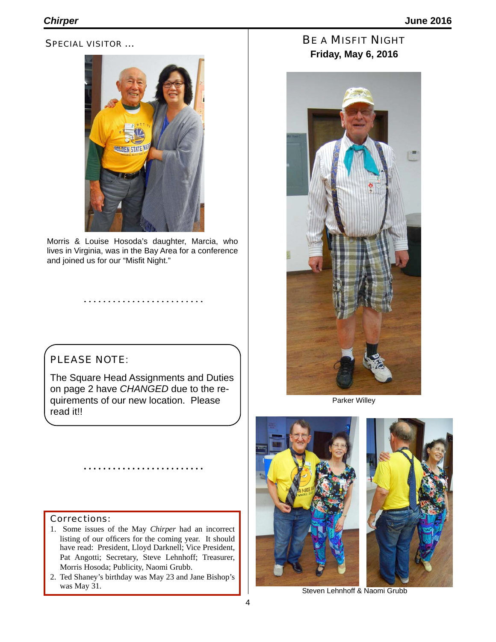#### SPECIAL VISITOR …



Morris & Louise Hosoda's daughter, Marcia, who lives in Virginia, was in the Bay Area for a conference and joined us for our "Misfit Night."

#### PLEASE NOTE:

The Square Head Assignments and Duties on page 2 have *CHANGED* due to the requirements of our new location. Please read it!!

#### Corrections:

- 1. Some issues of the May *Chirper* had an incorrect listing of our officers for the coming year. It should have read: President, Lloyd Darknell; Vice President, Pat Angotti; Secretary, Steve Lehnhoff; Treasurer, Morris Hosoda; Publicity, Naomi Grubb.
- 2. Ted Shaney's birthday was May 23 and Jane Bishop's was May 31.

BE A MISFIT NIGHT **Friday, May 6, 2016**



Parker Willey





Steven Lehnhoff & Naomi Grubb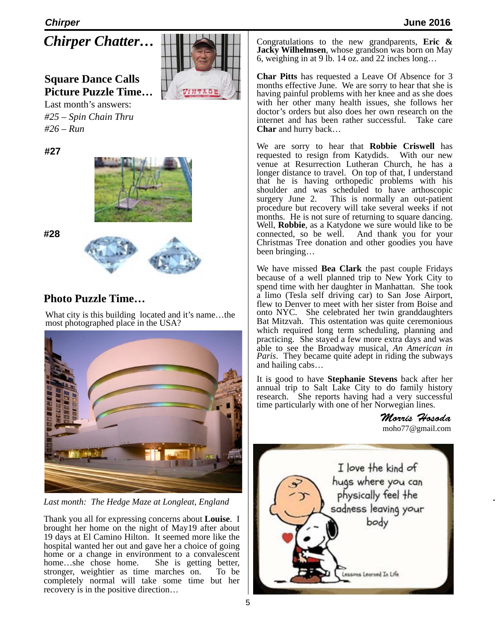*Chirper Chatter…*

## **Square Dance Calls Picture Puzzle Time…**

Last month's answers: *#25 – Spin Chain Thru #26 – Run*

**#27**



**#28**



## **Photo Puzzle Time…**

What city is this building located and it's name…the most photographed place in the USA?



*Last month: The Hedge Maze at Longleat, England*

Thank you all for expressing concerns about **Louise**. I brought her home on the night of May19 after about 19 days at El Camino Hilton. It seemed more like the hospital wanted her out and gave her a choice of going home or a change in environment to a convalescent home…she chose home. She is getting better, stronger, weightier as time marches on. To be completely normal will take some time but her recovery is in the positive direction…

Congratulations to the new grandparents, **Eric & Jacky Wilhelmsen**, whose grandson was born on May 6, weighing in at 9 lb. 14 oz. and 22 inches long…

**Char Pitts** has requested a Leave Of Absence for 3 months effective June. We are sorry to hear that she is having painful problems with her knee and as she does with her other many health issues, she follows her doctor's orders but also does her own research on the internet and has been rather successful. Take care **Char** and hurry back…

We are sorry to hear that **Robbie Criswell** has requested to resign from Katydids. venue at Resurrection Lutheran Church, he has a longer distance to travel. On top of that, I understand that he is having orthopedic problems with his shoulder and was scheduled to have arthoscopic surgery June 2. This is normally an out-patient procedure but recovery will take several weeks if not months. He is not sure of returning to square dancing. Well, **Robbie**, as a Katydone we sure would like to be connected, so be well. And thank you for your Christmas Tree donation and other goodies you have been bringing…

We have missed **Bea Clark** the past couple Fridays because of a well planned trip to New York City to spend time with her daughter in Manhattan. She took a limo (Tesla self driving car) to San Jose Airport, flew to Denver to meet with her sister from Boise and onto NYC. She celebrated her twin granddaughters Bat Mitzvah. This ostentation was quite ceremonious which required long term scheduling, planning and practicing. She stayed a few more extra days and was able to see the Broadway musical, *An American in Paris*. They became quite adept in riding the subways and hailing cabs…

It is good to have **Stephanie Stevens** back after her annual trip to Salt Lake City to do family history research. She reports having had a very successful time particularly with one of her Norwegian lines.

> *Morris Hosoda* [moho77@gmail.com](mailto:moho77@gmail.com)

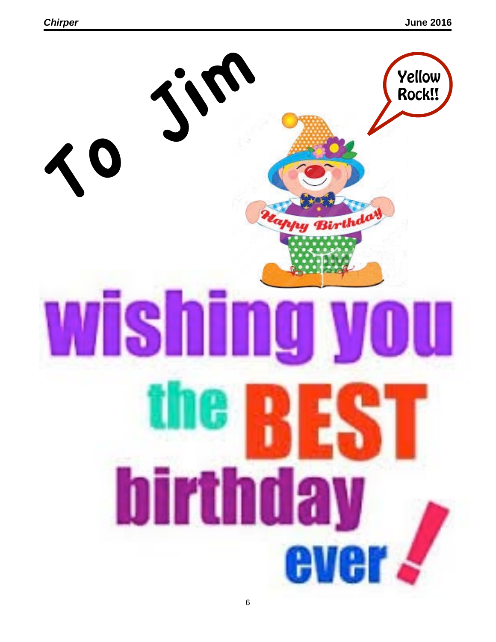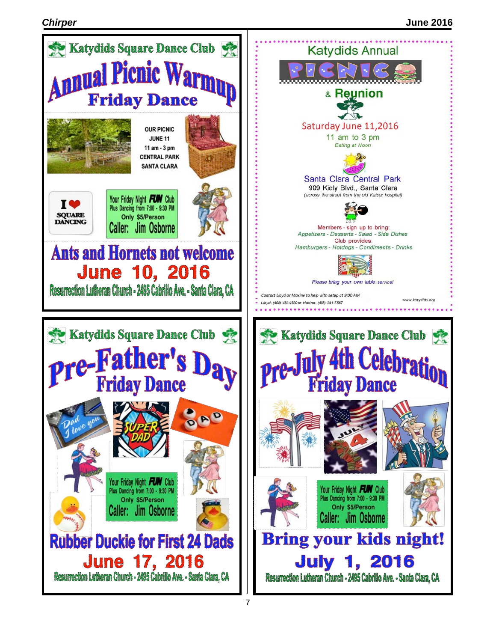